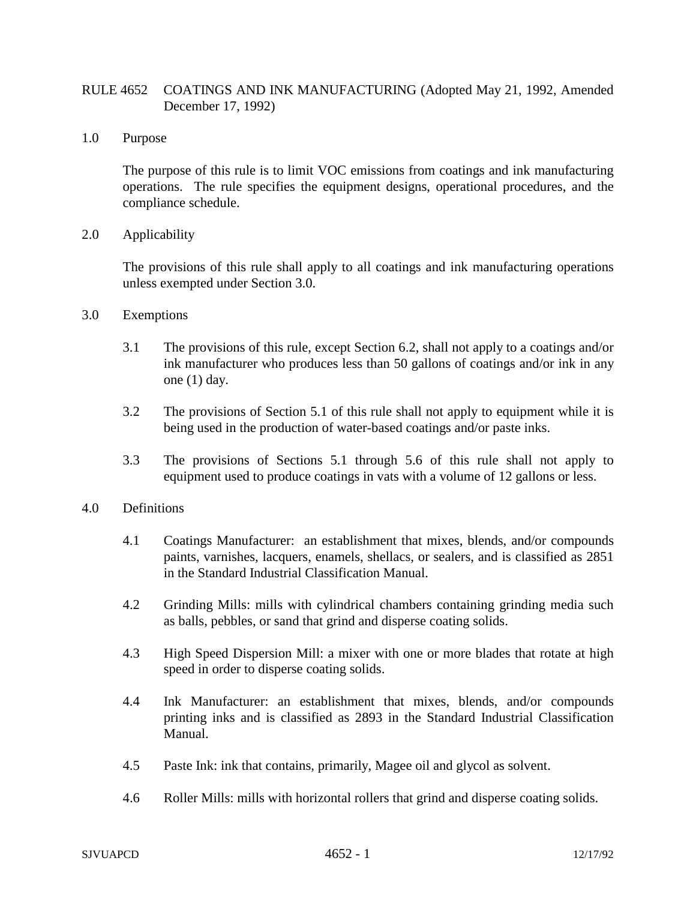## RULE 4652 COATINGS AND INK MANUFACTURING (Adopted May 21, 1992, Amended December 17, 1992)

1.0 Purpose

The purpose of this rule is to limit VOC emissions from coatings and ink manufacturing operations. The rule specifies the equipment designs, operational procedures, and the compliance schedule.

2.0 Applicability

The provisions of this rule shall apply to all coatings and ink manufacturing operations unless exempted under Section 3.0.

- 3.0 Exemptions
	- 3.1 The provisions of this rule, except Section 6.2, shall not apply to a coatings and/or ink manufacturer who produces less than 50 gallons of coatings and/or ink in any one (1) day.
	- 3.2 The provisions of Section 5.1 of this rule shall not apply to equipment while it is being used in the production of water-based coatings and/or paste inks.
	- 3.3 The provisions of Sections 5.1 through 5.6 of this rule shall not apply to equipment used to produce coatings in vats with a volume of 12 gallons or less.

## 4.0 Definitions

- 4.1 Coatings Manufacturer: an establishment that mixes, blends, and/or compounds paints, varnishes, lacquers, enamels, shellacs, or sealers, and is classified as 2851 in the Standard Industrial Classification Manual.
- 4.2 Grinding Mills: mills with cylindrical chambers containing grinding media such as balls, pebbles, or sand that grind and disperse coating solids.
- 4.3 High Speed Dispersion Mill: a mixer with one or more blades that rotate at high speed in order to disperse coating solids.
- 4.4 Ink Manufacturer: an establishment that mixes, blends, and/or compounds printing inks and is classified as 2893 in the Standard Industrial Classification Manual.
- 4.5 Paste Ink: ink that contains, primarily, Magee oil and glycol as solvent.
- 4.6 Roller Mills: mills with horizontal rollers that grind and disperse coating solids.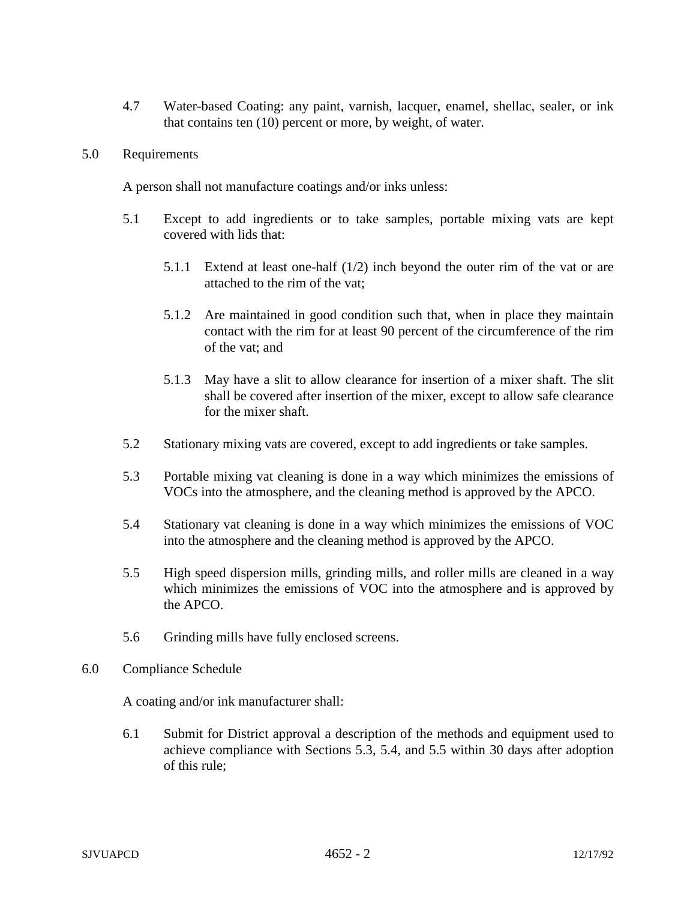4.7 Water-based Coating: any paint, varnish, lacquer, enamel, shellac, sealer, or ink that contains ten (10) percent or more, by weight, of water.

## 5.0 Requirements

A person shall not manufacture coatings and/or inks unless:

- 5.1 Except to add ingredients or to take samples, portable mixing vats are kept covered with lids that:
	- 5.1.1 Extend at least one-half (1/2) inch beyond the outer rim of the vat or are attached to the rim of the vat;
	- 5.1.2 Are maintained in good condition such that, when in place they maintain contact with the rim for at least 90 percent of the circumference of the rim of the vat; and
	- 5.1.3 May have a slit to allow clearance for insertion of a mixer shaft. The slit shall be covered after insertion of the mixer, except to allow safe clearance for the mixer shaft.
- 5.2 Stationary mixing vats are covered, except to add ingredients or take samples.
- 5.3 Portable mixing vat cleaning is done in a way which minimizes the emissions of VOCs into the atmosphere, and the cleaning method is approved by the APCO.
- 5.4 Stationary vat cleaning is done in a way which minimizes the emissions of VOC into the atmosphere and the cleaning method is approved by the APCO.
- 5.5 High speed dispersion mills, grinding mills, and roller mills are cleaned in a way which minimizes the emissions of VOC into the atmosphere and is approved by the APCO.
- 5.6 Grinding mills have fully enclosed screens.
- 6.0 Compliance Schedule

A coating and/or ink manufacturer shall:

6.1 Submit for District approval a description of the methods and equipment used to achieve compliance with Sections 5.3, 5.4, and 5.5 within 30 days after adoption of this rule;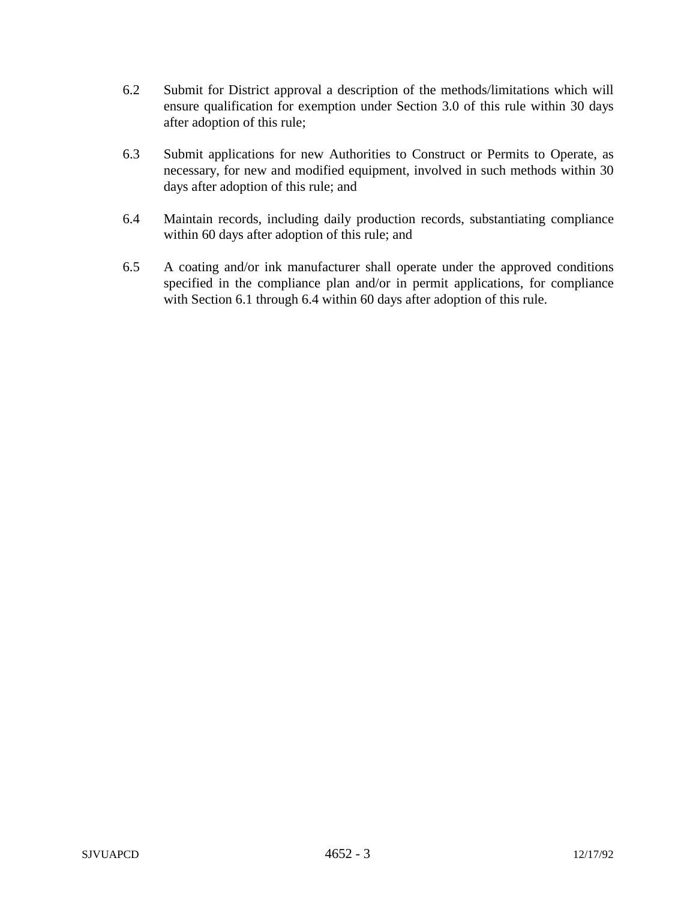- 6.2 Submit for District approval a description of the methods/limitations which will ensure qualification for exemption under Section 3.0 of this rule within 30 days after adoption of this rule;
- 6.3 Submit applications for new Authorities to Construct or Permits to Operate, as necessary, for new and modified equipment, involved in such methods within 30 days after adoption of this rule; and
- 6.4 Maintain records, including daily production records, substantiating compliance within 60 days after adoption of this rule; and
- 6.5 A coating and/or ink manufacturer shall operate under the approved conditions specified in the compliance plan and/or in permit applications, for compliance with Section 6.1 through 6.4 within 60 days after adoption of this rule.